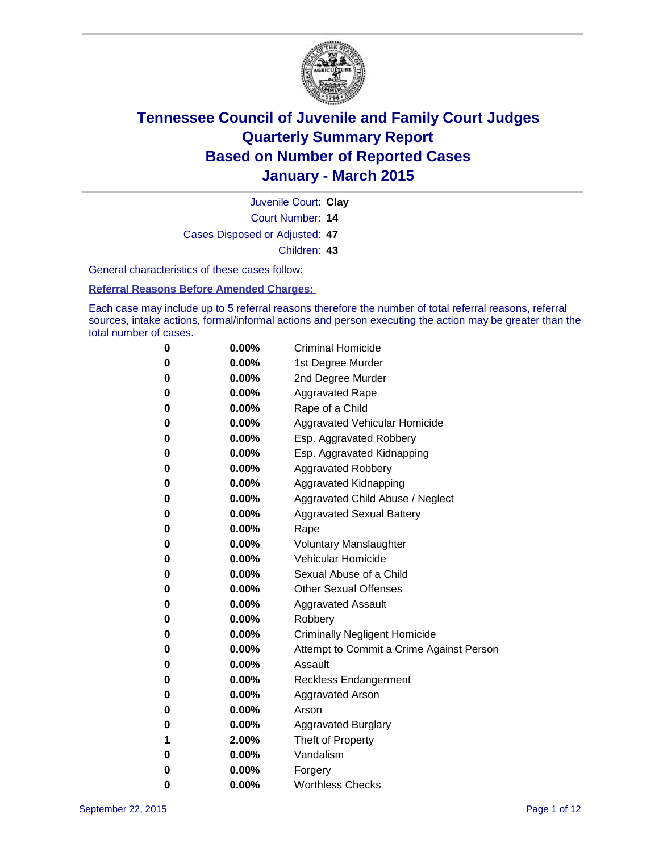

Court Number: **14** Juvenile Court: **Clay** Cases Disposed or Adjusted: **47** Children: **43**

General characteristics of these cases follow:

**Referral Reasons Before Amended Charges:** 

Each case may include up to 5 referral reasons therefore the number of total referral reasons, referral sources, intake actions, formal/informal actions and person executing the action may be greater than the total number of cases.

| 0        | $0.00\%$ | <b>Criminal Homicide</b>                 |
|----------|----------|------------------------------------------|
| 0        | $0.00\%$ | 1st Degree Murder                        |
| $\bf{0}$ | $0.00\%$ | 2nd Degree Murder                        |
| 0        | $0.00\%$ | <b>Aggravated Rape</b>                   |
| 0        | $0.00\%$ | Rape of a Child                          |
| 0        | $0.00\%$ | Aggravated Vehicular Homicide            |
| 0        | $0.00\%$ | Esp. Aggravated Robbery                  |
| 0        | $0.00\%$ | Esp. Aggravated Kidnapping               |
| $\bf{0}$ | $0.00\%$ | <b>Aggravated Robbery</b>                |
| $\bf{0}$ | 0.00%    | <b>Aggravated Kidnapping</b>             |
| 0        | 0.00%    | Aggravated Child Abuse / Neglect         |
| 0        | 0.00%    | <b>Aggravated Sexual Battery</b>         |
| $\bf{0}$ | $0.00\%$ | Rape                                     |
| 0        | $0.00\%$ | <b>Voluntary Manslaughter</b>            |
| 0        | $0.00\%$ | <b>Vehicular Homicide</b>                |
| 0        | $0.00\%$ | Sexual Abuse of a Child                  |
| $\bf{0}$ | $0.00\%$ | <b>Other Sexual Offenses</b>             |
| 0        | $0.00\%$ | <b>Aggravated Assault</b>                |
| 0        | $0.00\%$ | Robbery                                  |
| 0        | $0.00\%$ | <b>Criminally Negligent Homicide</b>     |
| 0        | $0.00\%$ | Attempt to Commit a Crime Against Person |
| 0        | $0.00\%$ | Assault                                  |
| 0        | 0.00%    | <b>Reckless Endangerment</b>             |
| 0        | $0.00\%$ | <b>Aggravated Arson</b>                  |
| 0        | $0.00\%$ | Arson                                    |
| 0        | $0.00\%$ | <b>Aggravated Burglary</b>               |
| 1        | 2.00%    | Theft of Property                        |
| 0        | $0.00\%$ | Vandalism                                |
| 0        | $0.00\%$ | Forgery                                  |
| 0        | $0.00\%$ | <b>Worthless Checks</b>                  |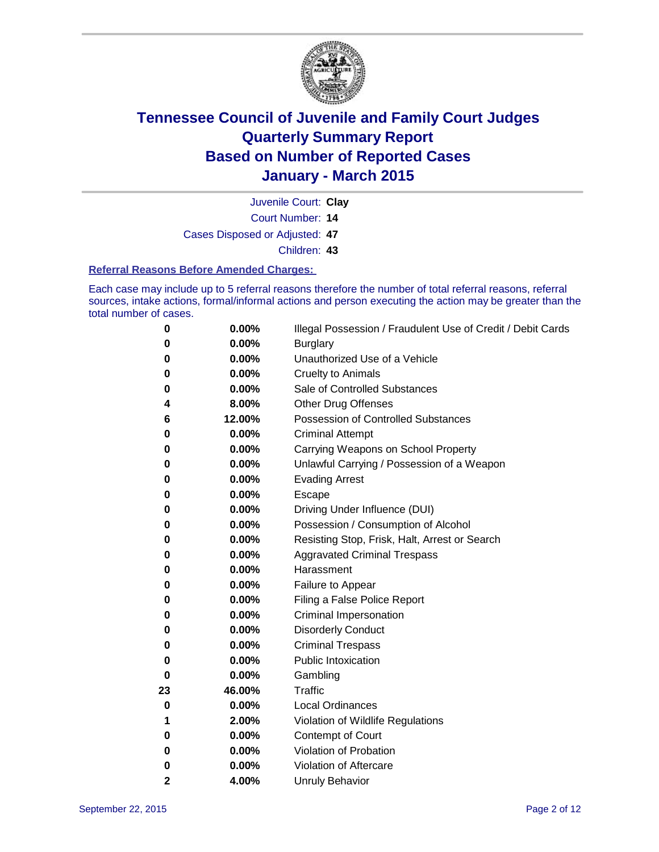

Court Number: **14** Juvenile Court: **Clay** Cases Disposed or Adjusted: **47**

Children: **43**

#### **Referral Reasons Before Amended Charges:**

Each case may include up to 5 referral reasons therefore the number of total referral reasons, referral sources, intake actions, formal/informal actions and person executing the action may be greater than the total number of cases.

| 0  | 0.00%  | Illegal Possession / Fraudulent Use of Credit / Debit Cards |
|----|--------|-------------------------------------------------------------|
| 0  | 0.00%  | <b>Burglary</b>                                             |
| 0  | 0.00%  | Unauthorized Use of a Vehicle                               |
| 0  | 0.00%  | <b>Cruelty to Animals</b>                                   |
| 0  | 0.00%  | Sale of Controlled Substances                               |
| 4  | 8.00%  | <b>Other Drug Offenses</b>                                  |
| 6  | 12.00% | <b>Possession of Controlled Substances</b>                  |
| 0  | 0.00%  | <b>Criminal Attempt</b>                                     |
| 0  | 0.00%  | Carrying Weapons on School Property                         |
| 0  | 0.00%  | Unlawful Carrying / Possession of a Weapon                  |
| 0  | 0.00%  | <b>Evading Arrest</b>                                       |
| 0  | 0.00%  | Escape                                                      |
| 0  | 0.00%  | Driving Under Influence (DUI)                               |
| 0  | 0.00%  | Possession / Consumption of Alcohol                         |
| 0  | 0.00%  | Resisting Stop, Frisk, Halt, Arrest or Search               |
| 0  | 0.00%  | <b>Aggravated Criminal Trespass</b>                         |
| 0  | 0.00%  | Harassment                                                  |
| 0  | 0.00%  | Failure to Appear                                           |
| 0  | 0.00%  | Filing a False Police Report                                |
| 0  | 0.00%  | <b>Criminal Impersonation</b>                               |
| 0  | 0.00%  | <b>Disorderly Conduct</b>                                   |
| 0  | 0.00%  | <b>Criminal Trespass</b>                                    |
| 0  | 0.00%  | <b>Public Intoxication</b>                                  |
| 0  | 0.00%  | Gambling                                                    |
| 23 | 46.00% | <b>Traffic</b>                                              |
| 0  | 0.00%  | <b>Local Ordinances</b>                                     |
| 1  | 2.00%  | Violation of Wildlife Regulations                           |
| 0  | 0.00%  | Contempt of Court                                           |
| 0  | 0.00%  | Violation of Probation                                      |
| 0  | 0.00%  | Violation of Aftercare                                      |
| 2  | 4.00%  | <b>Unruly Behavior</b>                                      |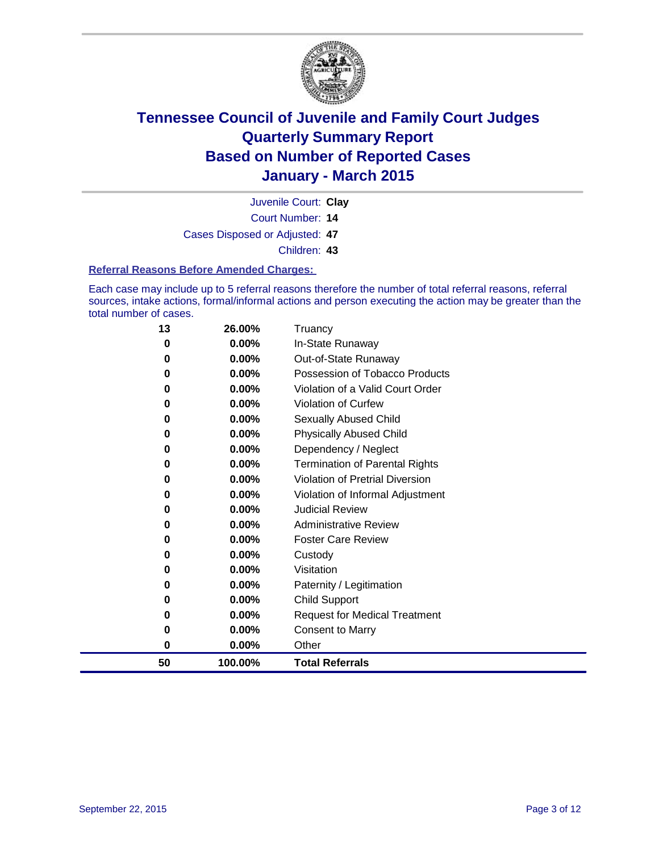

Court Number: **14** Juvenile Court: **Clay** Cases Disposed or Adjusted: **47** Children: **43**

#### **Referral Reasons Before Amended Charges:**

Each case may include up to 5 referral reasons therefore the number of total referral reasons, referral sources, intake actions, formal/informal actions and person executing the action may be greater than the total number of cases.

| 13 | 26.00%   | Truancy                                |
|----|----------|----------------------------------------|
| 0  | 0.00%    | In-State Runaway                       |
| 0  | $0.00\%$ | Out-of-State Runaway                   |
| 0  | 0.00%    | Possession of Tobacco Products         |
| 0  | $0.00\%$ | Violation of a Valid Court Order       |
| 0  | $0.00\%$ | <b>Violation of Curfew</b>             |
| 0  | $0.00\%$ | Sexually Abused Child                  |
| 0  | 0.00%    | <b>Physically Abused Child</b>         |
| 0  | $0.00\%$ | Dependency / Neglect                   |
| 0  | 0.00%    | <b>Termination of Parental Rights</b>  |
| 0  | $0.00\%$ | <b>Violation of Pretrial Diversion</b> |
| 0  | 0.00%    | Violation of Informal Adjustment       |
| 0  | $0.00\%$ | <b>Judicial Review</b>                 |
| 0  | $0.00\%$ | <b>Administrative Review</b>           |
| 0  | $0.00\%$ | <b>Foster Care Review</b>              |
| 0  | 0.00%    | Custody                                |
| 0  | $0.00\%$ | Visitation                             |
| 0  | 0.00%    | Paternity / Legitimation               |
| 0  | 0.00%    | <b>Child Support</b>                   |
| 0  | 0.00%    | <b>Request for Medical Treatment</b>   |
| 0  | 0.00%    | <b>Consent to Marry</b>                |
| 0  | $0.00\%$ | Other                                  |
| 50 | 100.00%  | <b>Total Referrals</b>                 |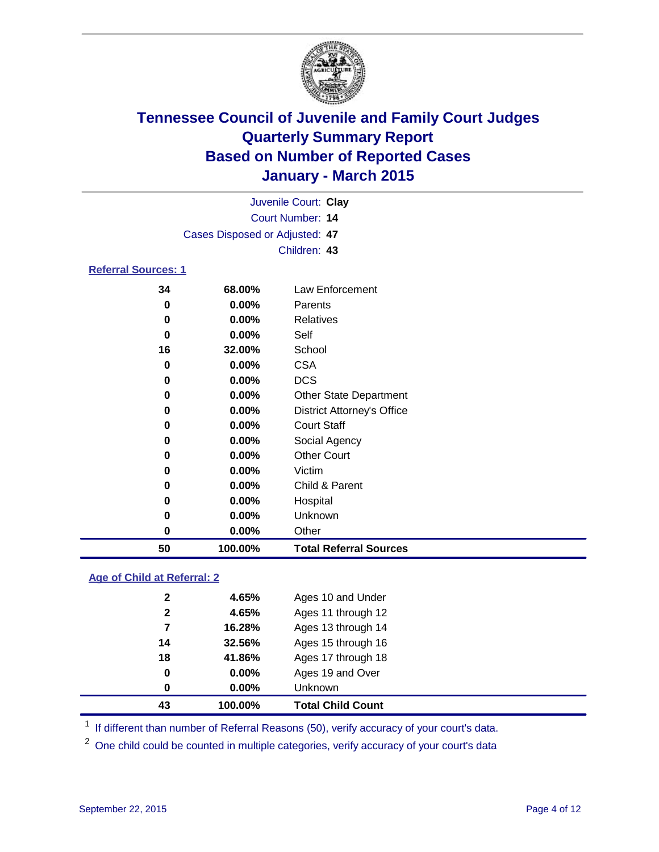

| Juvenile Court: Clay           |  |
|--------------------------------|--|
| Court Number: 14               |  |
| Cases Disposed or Adjusted: 47 |  |
| Children: 43                   |  |
|                                |  |

#### **Referral Sources: 1**

| 50 | 100.00%  | <b>Total Referral Sources</b>     |
|----|----------|-----------------------------------|
| 0  | $0.00\%$ | Other                             |
| 0  | $0.00\%$ | Unknown                           |
| 0  | $0.00\%$ | Hospital                          |
| 0  | $0.00\%$ | Child & Parent                    |
| 0  | 0.00%    | Victim                            |
| 0  | 0.00%    | <b>Other Court</b>                |
| 0  | $0.00\%$ | Social Agency                     |
| 0  | $0.00\%$ | <b>Court Staff</b>                |
| 0  | $0.00\%$ | <b>District Attorney's Office</b> |
| 0  | $0.00\%$ | <b>Other State Department</b>     |
| 0  | $0.00\%$ | <b>DCS</b>                        |
| 0  | 0.00%    | <b>CSA</b>                        |
| 16 | 32.00%   | School                            |
| 0  | 0.00%    | Self                              |
| 0  | $0.00\%$ | Relatives                         |
| 0  | $0.00\%$ | Parents                           |
| 34 | 68.00%   | Law Enforcement                   |

#### **Age of Child at Referral: 2**

| 43           | 100.00%  | <b>Total Child Count</b> |
|--------------|----------|--------------------------|
| $\bf{0}$     | $0.00\%$ | <b>Unknown</b>           |
| 0            | $0.00\%$ | Ages 19 and Over         |
| 18           | 41.86%   | Ages 17 through 18       |
| 14           | 32.56%   | Ages 15 through 16       |
| 7            | 16.28%   | Ages 13 through 14       |
| $\mathbf{2}$ | 4.65%    | Ages 11 through 12       |
| 2            | 4.65%    | Ages 10 and Under        |

<sup>1</sup> If different than number of Referral Reasons (50), verify accuracy of your court's data.

One child could be counted in multiple categories, verify accuracy of your court's data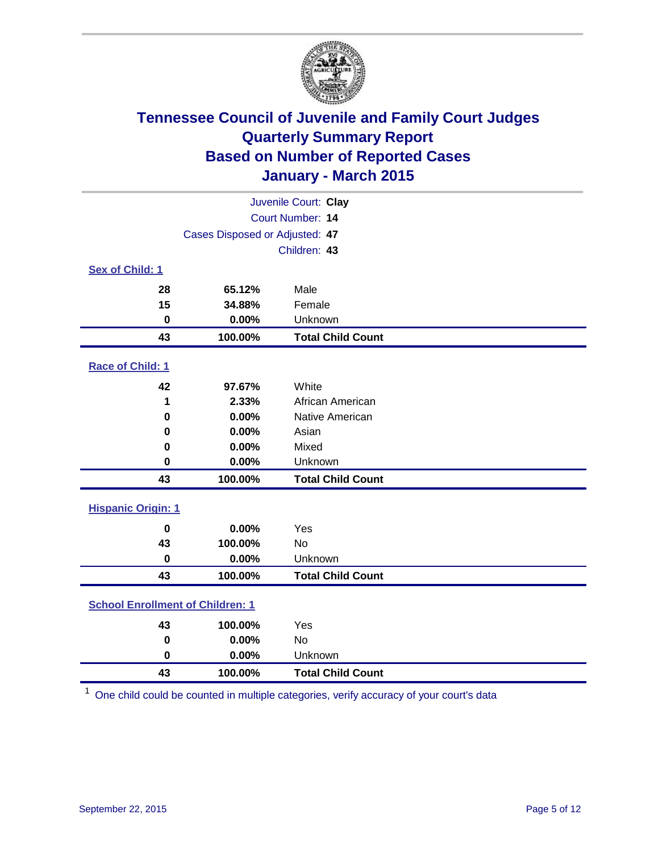

| Juvenile Court: Clay                    |         |                          |  |  |
|-----------------------------------------|---------|--------------------------|--|--|
| Court Number: 14                        |         |                          |  |  |
| Cases Disposed or Adjusted: 47          |         |                          |  |  |
|                                         |         | Children: 43             |  |  |
| Sex of Child: 1                         |         |                          |  |  |
| 28                                      | 65.12%  | Male                     |  |  |
| 15                                      | 34.88%  | Female                   |  |  |
| $\mathbf 0$                             | 0.00%   | Unknown                  |  |  |
| 43                                      | 100.00% | <b>Total Child Count</b> |  |  |
| Race of Child: 1                        |         |                          |  |  |
| 42                                      | 97.67%  | White                    |  |  |
| 1                                       | 2.33%   | African American         |  |  |
| 0                                       | 0.00%   | Native American          |  |  |
| 0                                       | 0.00%   | Asian                    |  |  |
| 0                                       | 0.00%   | Mixed                    |  |  |
| 0                                       | 0.00%   | Unknown                  |  |  |
| 43                                      | 100.00% | <b>Total Child Count</b> |  |  |
| <b>Hispanic Origin: 1</b>               |         |                          |  |  |
| $\bf{0}$                                | 0.00%   | Yes                      |  |  |
| 43                                      | 100.00% | <b>No</b>                |  |  |
| $\mathbf 0$                             | 0.00%   | Unknown                  |  |  |
| 43                                      | 100.00% | <b>Total Child Count</b> |  |  |
| <b>School Enrollment of Children: 1</b> |         |                          |  |  |
| 43                                      | 100.00% | Yes                      |  |  |
| $\bf{0}$                                | 0.00%   | No                       |  |  |
| 0                                       | 0.00%   | Unknown                  |  |  |
| 43                                      | 100.00% | <b>Total Child Count</b> |  |  |

One child could be counted in multiple categories, verify accuracy of your court's data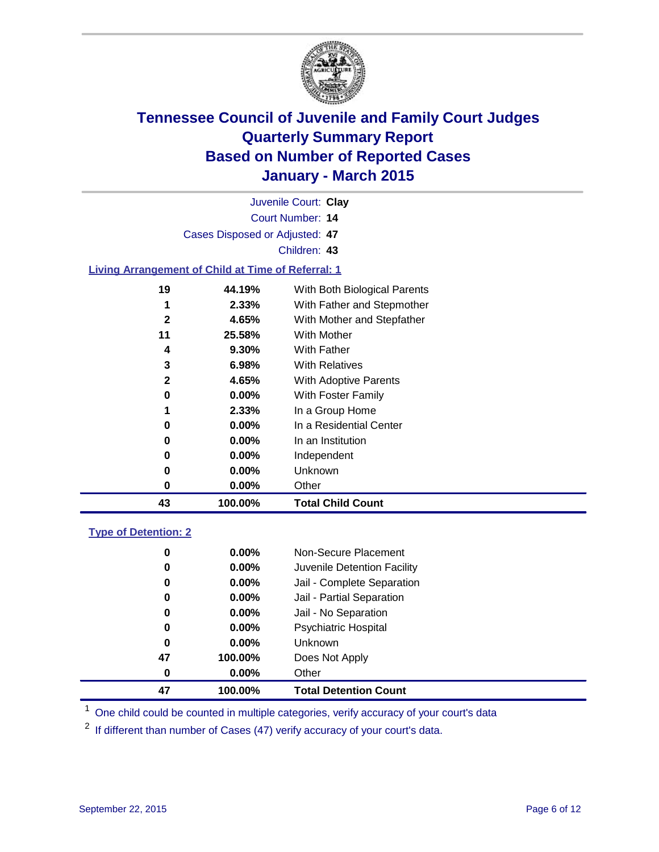

| Juvenile Court: Clay                                      |              |                              |  |  |  |
|-----------------------------------------------------------|--------------|------------------------------|--|--|--|
| Court Number: 14                                          |              |                              |  |  |  |
| Cases Disposed or Adjusted: 47                            |              |                              |  |  |  |
|                                                           | Children: 43 |                              |  |  |  |
| <b>Living Arrangement of Child at Time of Referral: 1</b> |              |                              |  |  |  |
| 19                                                        | 44.19%       | With Both Biological Parents |  |  |  |
| 1                                                         | 2.33%        | With Father and Stepmother   |  |  |  |
| $\mathbf{2}$                                              | 4.65%        | With Mother and Stepfather   |  |  |  |
| 11                                                        | 25.58%       | With Mother                  |  |  |  |
| 4                                                         | 9.30%        | <b>With Father</b>           |  |  |  |
| 3                                                         | 6.98%        | <b>With Relatives</b>        |  |  |  |
| $\overline{2}$                                            | 4.65%        | With Adoptive Parents        |  |  |  |
| 0                                                         | 0.00%        | With Foster Family           |  |  |  |
| 1                                                         | 2.33%        | In a Group Home              |  |  |  |
| 0                                                         | 0.00%        | In a Residential Center      |  |  |  |
| 0                                                         | 0.00%        | In an Institution            |  |  |  |
| 0                                                         | 0.00%        | Independent                  |  |  |  |
| 0                                                         | 0.00%        | Unknown                      |  |  |  |
| $\mathbf 0$                                               | 0.00%        | Other                        |  |  |  |
| 43                                                        | 100.00%      | <b>Total Child Count</b>     |  |  |  |
| <b>Type of Detention: 2</b>                               |              |                              |  |  |  |
| 0                                                         | 0.00%        | Non-Secure Placement         |  |  |  |
| 0                                                         | 0.00%        | Juvenile Detention Facility  |  |  |  |
| 0                                                         | 0.00%        | Jail - Complete Separation   |  |  |  |
| 0                                                         | 0.00%        | Jail - Partial Separation    |  |  |  |
| 0                                                         | 0.00%        | Jail - No Separation         |  |  |  |
| 0                                                         | 0.00%        | <b>Psychiatric Hospital</b>  |  |  |  |
| 0                                                         | 0.00%        | Unknown                      |  |  |  |
| 47                                                        | 100.00%      | Does Not Apply               |  |  |  |
| 0                                                         | 0.00%        | Other                        |  |  |  |
| 47                                                        | 100.00%      | <b>Total Detention Count</b> |  |  |  |

<sup>1</sup> One child could be counted in multiple categories, verify accuracy of your court's data

If different than number of Cases (47) verify accuracy of your court's data.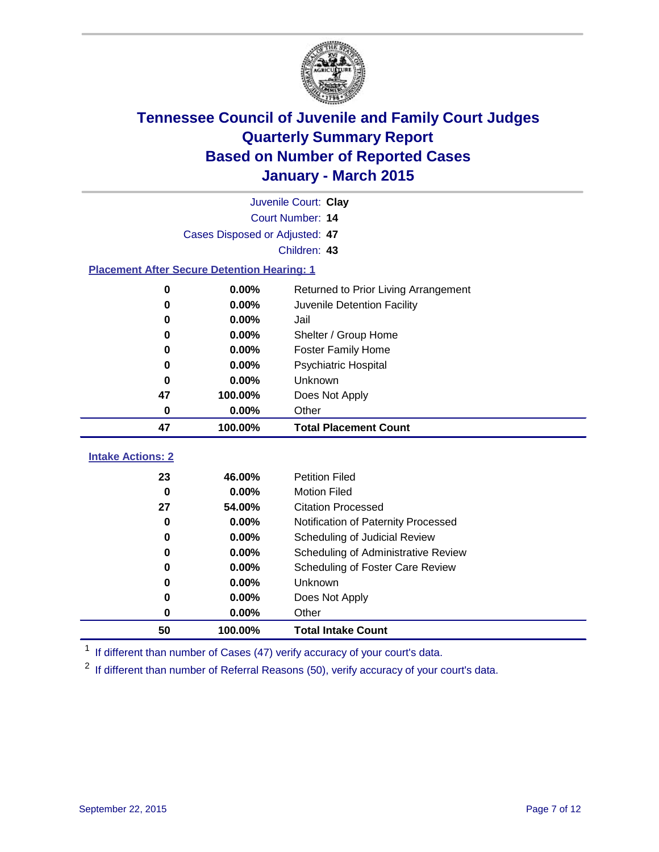

| Juvenile Court: Clay                               |                                |                                      |  |  |  |
|----------------------------------------------------|--------------------------------|--------------------------------------|--|--|--|
|                                                    | <b>Court Number: 14</b>        |                                      |  |  |  |
|                                                    | Cases Disposed or Adjusted: 47 |                                      |  |  |  |
|                                                    |                                | Children: 43                         |  |  |  |
| <b>Placement After Secure Detention Hearing: 1</b> |                                |                                      |  |  |  |
| 0                                                  | 0.00%                          | Returned to Prior Living Arrangement |  |  |  |
| 0                                                  | 0.00%                          | Juvenile Detention Facility          |  |  |  |
| 0                                                  | 0.00%                          | Jail                                 |  |  |  |
| 0                                                  | 0.00%                          | Shelter / Group Home                 |  |  |  |
| 0                                                  | 0.00%                          | <b>Foster Family Home</b>            |  |  |  |
| 0                                                  | 0.00%                          | <b>Psychiatric Hospital</b>          |  |  |  |
| $\bf{0}$                                           | 0.00%                          | Unknown                              |  |  |  |
| 47                                                 | 100.00%                        | Does Not Apply                       |  |  |  |
| 0                                                  | 0.00%                          | Other                                |  |  |  |
|                                                    |                                | <b>Total Placement Count</b>         |  |  |  |
| 47                                                 | 100.00%                        |                                      |  |  |  |
| <b>Intake Actions: 2</b>                           |                                |                                      |  |  |  |
| 23                                                 | 46.00%                         | <b>Petition Filed</b>                |  |  |  |
| $\bf{0}$                                           | 0.00%                          | <b>Motion Filed</b>                  |  |  |  |
| 27                                                 | 54.00%                         | <b>Citation Processed</b>            |  |  |  |
| $\bf{0}$                                           | 0.00%                          | Notification of Paternity Processed  |  |  |  |
| 0                                                  | 0.00%                          | Scheduling of Judicial Review        |  |  |  |
| 0                                                  | 0.00%                          | Scheduling of Administrative Review  |  |  |  |
| 0                                                  | 0.00%                          | Scheduling of Foster Care Review     |  |  |  |
| 0                                                  | 0.00%                          | Unknown                              |  |  |  |
| 0                                                  | 0.00%                          | Does Not Apply                       |  |  |  |

<sup>1</sup> If different than number of Cases (47) verify accuracy of your court's data.

**100.00% Total Intake Count**

<sup>2</sup> If different than number of Referral Reasons (50), verify accuracy of your court's data.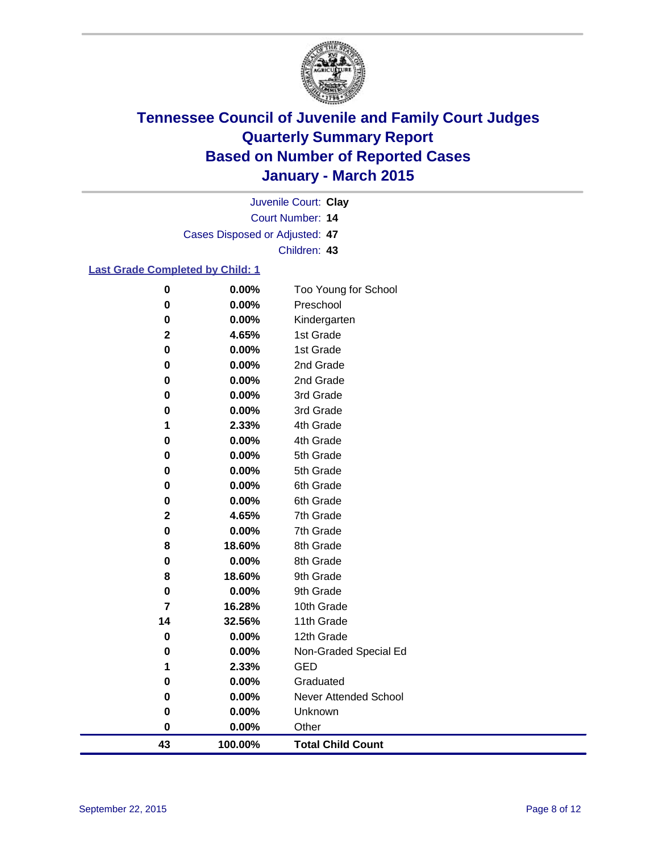

Court Number: **14** Juvenile Court: **Clay** Cases Disposed or Adjusted: **47** Children: **43**

#### **Last Grade Completed by Child: 1**

| 43             | 100.00% | <b>Total Child Count</b> |
|----------------|---------|--------------------------|
| 0              | 0.00%   | Other                    |
| 0              | 0.00%   | Unknown                  |
| 0              | 0.00%   | Never Attended School    |
| 0              | 0.00%   | Graduated                |
| 1              | 2.33%   | <b>GED</b>               |
| 0              | 0.00%   | Non-Graded Special Ed    |
| $\pmb{0}$      | 0.00%   | 12th Grade               |
| 14             | 32.56%  | 11th Grade               |
| $\overline{7}$ | 16.28%  | 10th Grade               |
| 0              | 0.00%   | 9th Grade                |
| 8              | 18.60%  | 9th Grade                |
| 0              | 0.00%   | 8th Grade                |
| 8              | 18.60%  | 8th Grade                |
| 0              | 0.00%   | 7th Grade                |
| $\mathbf 2$    | 4.65%   | 7th Grade                |
| 0              | 0.00%   | 6th Grade                |
| 0              | 0.00%   | 6th Grade                |
| 0              | 0.00%   | 5th Grade                |
| 0              | 0.00%   | 5th Grade                |
| 0              | 0.00%   | 4th Grade                |
| 1              | 2.33%   | 4th Grade                |
| 0              | 0.00%   | 3rd Grade                |
| 0              | 0.00%   | 3rd Grade                |
| 0              | 0.00%   | 2nd Grade                |
| 0              | 0.00%   | 2nd Grade                |
| 0              | 0.00%   | 1st Grade                |
| $\mathbf 2$    | 4.65%   | 1st Grade                |
| $\bf{0}$       | 0.00%   | Kindergarten             |
| 0              | 0.00%   | Preschool                |
| $\pmb{0}$      | 0.00%   | Too Young for School     |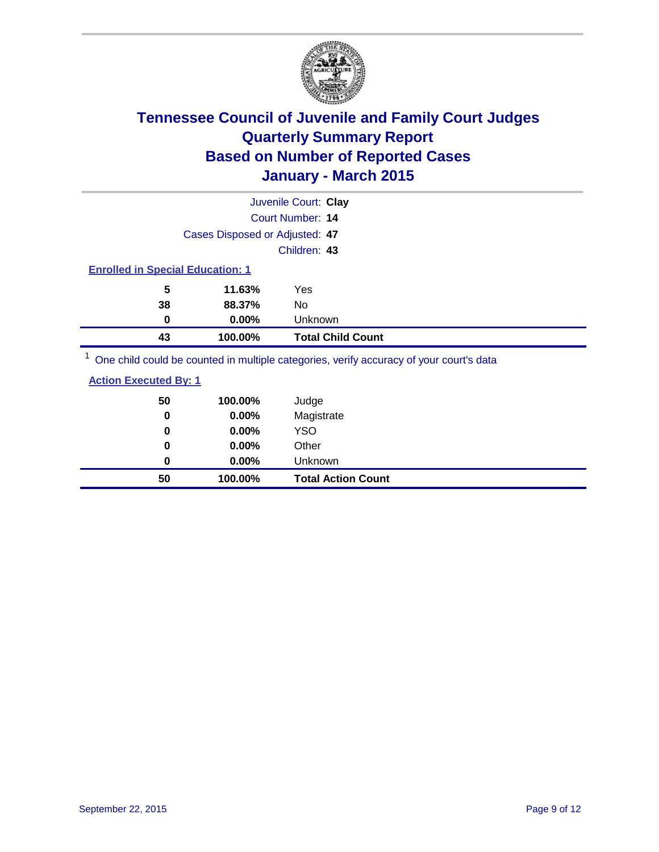

| 43 | 100.00%                                 | <b>Total Child Count</b> |
|----|-----------------------------------------|--------------------------|
|    | 0<br>$0.00\%$                           | Unknown                  |
|    | 38<br>88.37%                            | No                       |
|    | 5<br>11.63%                             | Yes                      |
|    | <b>Enrolled in Special Education: 1</b> |                          |
|    |                                         | Children: 43             |
|    | Cases Disposed or Adjusted: 47          |                          |
|    |                                         | Court Number: 14         |
|    |                                         | Juvenile Court: Clay     |

One child could be counted in multiple categories, verify accuracy of your court's data

| 50<br>0 | 100.00%<br>0.00% | Judge<br>Magistrate       |
|---------|------------------|---------------------------|
| 0       | $0.00\%$         | <b>YSO</b>                |
| 0       | 0.00%            | Other                     |
| 0       | $0.00\%$         | Unknown                   |
| 50      | 100.00%          | <b>Total Action Count</b> |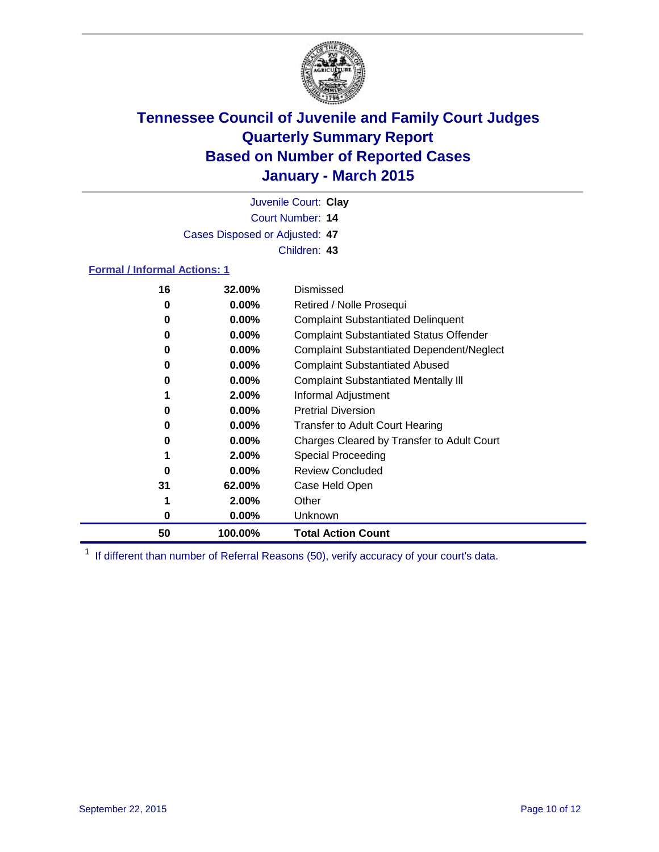

Court Number: **14** Juvenile Court: **Clay** Cases Disposed or Adjusted: **47** Children: **43**

#### **Formal / Informal Actions: 1**

| 16 | 32.00%   | Dismissed                                        |
|----|----------|--------------------------------------------------|
| 0  | $0.00\%$ | Retired / Nolle Prosequi                         |
| 0  | $0.00\%$ | <b>Complaint Substantiated Delinquent</b>        |
| 0  | $0.00\%$ | <b>Complaint Substantiated Status Offender</b>   |
| 0  | $0.00\%$ | <b>Complaint Substantiated Dependent/Neglect</b> |
| 0  | $0.00\%$ | <b>Complaint Substantiated Abused</b>            |
| 0  | $0.00\%$ | <b>Complaint Substantiated Mentally III</b>      |
|    | 2.00%    | Informal Adjustment                              |
| 0  | $0.00\%$ | <b>Pretrial Diversion</b>                        |
| 0  | $0.00\%$ | <b>Transfer to Adult Court Hearing</b>           |
| 0  | $0.00\%$ | Charges Cleared by Transfer to Adult Court       |
|    | 2.00%    | Special Proceeding                               |
| O  | $0.00\%$ | <b>Review Concluded</b>                          |
| 31 | 62.00%   | Case Held Open                                   |
|    | 2.00%    | Other                                            |
| 0  | $0.00\%$ | Unknown                                          |
| 50 | 100.00%  | <b>Total Action Count</b>                        |

<sup>1</sup> If different than number of Referral Reasons (50), verify accuracy of your court's data.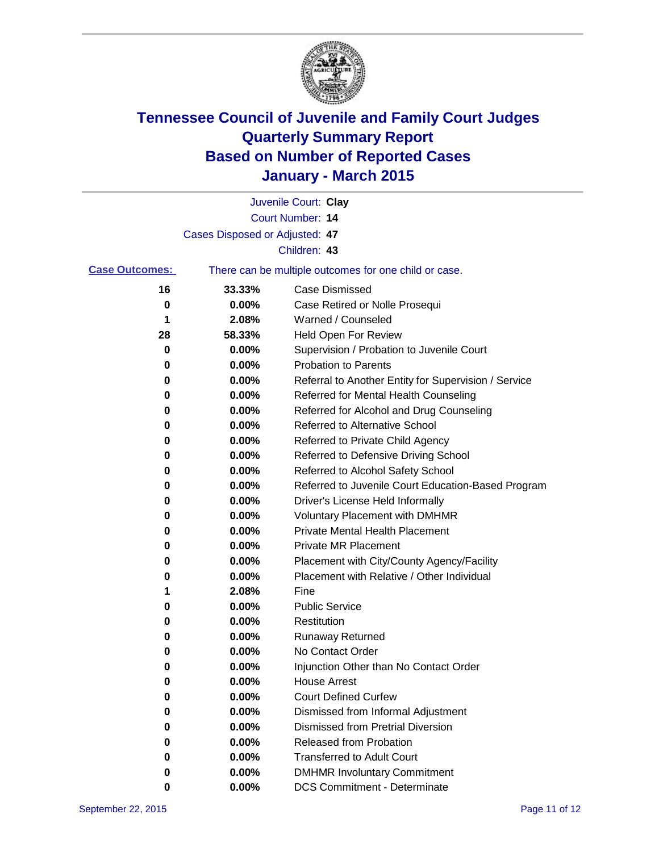

|                       |                                | Juvenile Court: Clay                                  |
|-----------------------|--------------------------------|-------------------------------------------------------|
|                       |                                | Court Number: 14                                      |
|                       | Cases Disposed or Adjusted: 47 |                                                       |
|                       |                                | Children: 43                                          |
| <b>Case Outcomes:</b> |                                | There can be multiple outcomes for one child or case. |
| 16                    | 33.33%                         | <b>Case Dismissed</b>                                 |
| 0                     | 0.00%                          | Case Retired or Nolle Prosequi                        |
| 1                     | 2.08%                          | Warned / Counseled                                    |
| 28                    | 58.33%                         | <b>Held Open For Review</b>                           |
| 0                     | 0.00%                          | Supervision / Probation to Juvenile Court             |
| 0                     | 0.00%                          | <b>Probation to Parents</b>                           |
| 0                     | 0.00%                          | Referral to Another Entity for Supervision / Service  |
| 0                     | 0.00%                          | Referred for Mental Health Counseling                 |
| 0                     | 0.00%                          | Referred for Alcohol and Drug Counseling              |
| 0                     | 0.00%                          | Referred to Alternative School                        |
| 0                     | 0.00%                          | Referred to Private Child Agency                      |
| 0                     | 0.00%                          | Referred to Defensive Driving School                  |
| 0                     | 0.00%                          | Referred to Alcohol Safety School                     |
| 0                     | 0.00%                          | Referred to Juvenile Court Education-Based Program    |
| 0                     | 0.00%                          | Driver's License Held Informally                      |
| 0                     | 0.00%                          | <b>Voluntary Placement with DMHMR</b>                 |
| 0                     | 0.00%                          | <b>Private Mental Health Placement</b>                |
| 0                     | 0.00%                          | <b>Private MR Placement</b>                           |
| 0                     | 0.00%                          | Placement with City/County Agency/Facility            |
| 0                     | 0.00%                          | Placement with Relative / Other Individual            |
| 1                     | 2.08%                          | Fine                                                  |
| 0                     | 0.00%                          | <b>Public Service</b>                                 |
| 0                     | 0.00%                          | Restitution                                           |
| 0                     | 0.00%                          | <b>Runaway Returned</b>                               |
| 0                     | 0.00%                          | No Contact Order                                      |
| 0                     | 0.00%                          | Injunction Other than No Contact Order                |
| 0                     | 0.00%                          | <b>House Arrest</b>                                   |
| 0                     | 0.00%                          | <b>Court Defined Curfew</b>                           |
| 0                     | 0.00%                          | Dismissed from Informal Adjustment                    |
| 0                     | 0.00%                          | Dismissed from Pretrial Diversion                     |
| 0                     | 0.00%                          | Released from Probation                               |
| 0                     | 0.00%                          | <b>Transferred to Adult Court</b>                     |
| 0                     | 0.00%                          | <b>DMHMR Involuntary Commitment</b>                   |
| 0                     | 0.00%                          | <b>DCS Commitment - Determinate</b>                   |